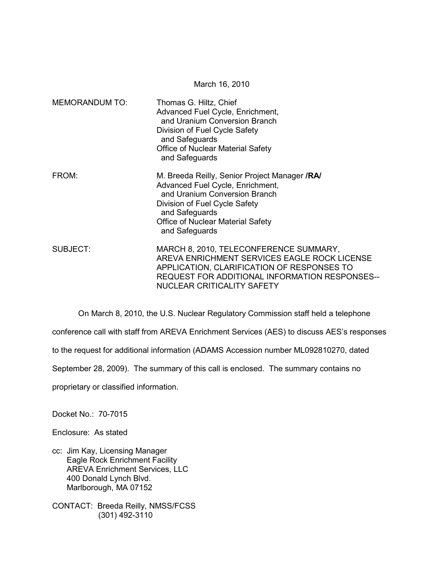|                       | March 16, 2010                                                                                                                                                                                                                      |
|-----------------------|-------------------------------------------------------------------------------------------------------------------------------------------------------------------------------------------------------------------------------------|
| <b>MEMORANDUM TO:</b> | Thomas G. Hiltz, Chief<br>Advanced Fuel Cycle, Enrichment,<br>and Uranium Conversion Branch<br>Division of Fuel Cycle Safety<br>and Safeguards<br><b>Office of Nuclear Material Safety</b><br>and Safeguards                        |
| FROM:                 | M. Breeda Reilly, Senior Project Manager / RA<br>Advanced Fuel Cycle, Enrichment,<br>and Uranium Conversion Branch<br>Division of Fuel Cycle Safety<br>and Safeguards<br><b>Office of Nuclear Material Safety</b><br>and Safeguards |
| SUBJECT:              | MARCH 8, 2010, TELECONFERENCE SUMMARY,<br>AREVA ENRICHMENT SERVICES EAGLE ROCK LICENSE<br>APPLICATION, CLARIFICATION OF RESPONSES TO<br>REQUEST FOR ADDITIONAL INFORMATION RESPONSES--                                              |

 On March 8, 2010, the U.S. Nuclear Regulatory Commission staff held a telephone conference call with staff from AREVA Enrichment Services (AES) to discuss AES's responses to the request for additional information (ADAMS Accession number ML092810270, dated September 28, 2009). The summary of this call is enclosed. The summary contains no proprietary or classified information.

NUCLEAR CRITICALITY SAFETY

Docket No.: 70-7015

Enclosure: As stated

cc: Jim Kay, Licensing Manager Eagle Rock Enrichment Facility AREVA Enrichment Services, LLC 400 Donald Lynch Blvd. Marlborough, MA 07152

CONTACT: Breeda Reilly, NMSS/FCSS (301) 492-3110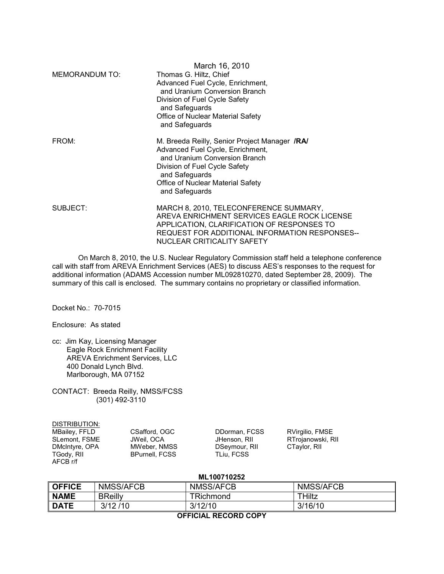|                | March 16, 2010                                                                                                                                                                                                               |  |
|----------------|------------------------------------------------------------------------------------------------------------------------------------------------------------------------------------------------------------------------------|--|
| MEMORANDUM TO: | Thomas G. Hiltz, Chief<br>Advanced Fuel Cycle, Enrichment,<br>and Uranium Conversion Branch<br>Division of Fuel Cycle Safety<br>and Safeguards<br>Office of Nuclear Material Safety<br>and Safeguards                        |  |
| FROM:          | M. Breeda Reilly, Senior Project Manager /RA/<br>Advanced Fuel Cycle, Enrichment,<br>and Uranium Conversion Branch<br>Division of Fuel Cycle Safety<br>and Safeguards<br>Office of Nuclear Material Safety<br>and Safeguards |  |
| SUBJECT:       | MARCH 8, 2010, TELECONFERENCE SUMMARY,<br>AREVA ENRICHMENT SERVICES EAGLE ROCK LICENSE<br>APPLICATION, CLARIFICATION OF RESPONSES TO<br>REQUEST FOR ADDITIONAL INFORMATION RESPONSES--<br>NUCLEAR CRITICALITY SAFETY         |  |

 On March 8, 2010, the U.S. Nuclear Regulatory Commission staff held a telephone conference call with staff from AREVA Enrichment Services (AES) to discuss AES's responses to the request for additional information (ADAMS Accession number ML092810270, dated September 28, 2009). The summary of this call is enclosed. The summary contains no proprietary or classified information.

Docket No.: 70-7015

Enclosure: As stated

cc: Jim Kay, Licensing Manager Eagle Rock Enrichment Facility AREVA Enrichment Services, LLC 400 Donald Lynch Blvd. Marlborough, MA 07152

CONTACT: Breeda Reilly, NMSS/FCSS (301) 492-3110

| DISTRIBUTION:  |                       |               |                   |
|----------------|-----------------------|---------------|-------------------|
| MBailey, FFLD  | CSafford, OGC         | DDorman, FCSS | RVirgilio, FMSE   |
| SLemont, FSME  | JWeil. OCA            | JHenson, RII  | RTrojanowski, RII |
| DMcIntyre, OPA | MWeber, NMSS          | DSeymour, RII | CTaylor, RII      |
| TGody, RII     | <b>BPurnell, FCSS</b> | TLiu. FCSS    |                   |
| AFCB r/f       |                       |               |                   |

**ML100710252** 

| .        |                  |                  |                  |  |
|----------|------------------|------------------|------------------|--|
| ∥ OFFICE | <b>NMSS/AFCB</b> | <b>NMSS/AFCB</b> | <b>NMSS/AFCB</b> |  |
| ∥ NAME   | <b>BReilly</b>   | ⊺Richmond        | THiltz           |  |
| ∥ DATE   | 3/12/10          | 3/12/10          | 3/16/10          |  |
|          |                  |                  |                  |  |

**OFFICIAL RECORD COPY**